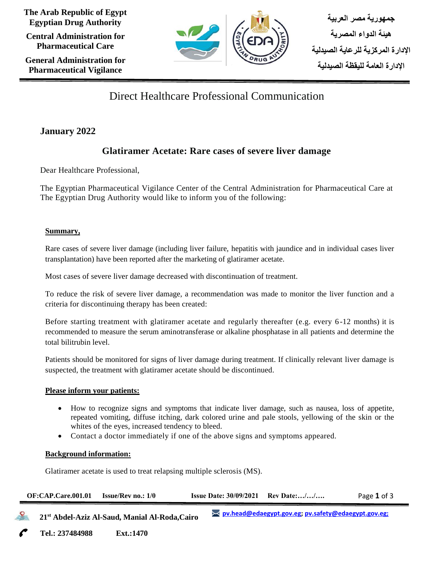**The Arab Republic of Egypt Egyptian Drug Authority**

**Central Administration for Pharmaceutical Care**

**General Administration for Pharmaceutical Vigilance**



# Direct Healthcare Professional Communication

## **January 2022**

# **Glatiramer Acetate: Rare cases of severe liver damage**

Dear Healthcare Professional,

The Egyptian Pharmaceutical Vigilance Center of the Central Administration for Pharmaceutical Care at The Egyptian Drug Authority would like to inform you of the following:

### **Summary,**

Rare cases of severe liver damage (including liver failure, hepatitis with jaundice and in individual cases liver transplantation) have been reported after the marketing of glatiramer acetate.

Most cases of severe liver damage decreased with discontinuation of treatment.

To reduce the risk of severe liver damage, a recommendation was made to monitor the liver function and a criteria for discontinuing therapy has been created:

Before starting treatment with glatiramer acetate and regularly thereafter (e.g. every 6 -12 months) it is recommended to measure the serum aminotransferase or alkaline phosphatase in all patients and determine the total bilitrubin level.

Patients should be monitored for signs of liver damage during treatment. If clinically relevant liver damage is suspected, the treatment with glatiramer acetate should be discontinued.

#### **Please inform your patients:**

- How to recognize signs and symptoms that indicate liver damage, such as nausea, loss of appetite, repeated vomiting, diffuse itching, dark colored urine and pale stools, yellowing of the skin or the whites of the eyes, increased tendency to bleed.
- Contact a doctor immediately if one of the above signs and symptoms appeared.

## **Background information:**

Glatiramer acetate is used to treat relapsing multiple sclerosis (MS).

| OF:CAP.Care.001.01 |                                                            | <b>Issue/Rev</b> no.: $1/0$ | <b>Issue Date: 30/09/2021</b> |                                                       | Rev Date:// | Page 1 of 3 |
|--------------------|------------------------------------------------------------|-----------------------------|-------------------------------|-------------------------------------------------------|-------------|-------------|
|                    | 21 <sup>st</sup> Abdel-Aziz Al-Saud, Manial Al-Roda, Cairo |                             |                               | M pv.head@edaegypt.gov.eg; pv.safety@edaegypt.gov.eg; |             |             |
|                    | Tel.: 237484988                                            | <b>Ext.:1470</b>            |                               |                                                       |             |             |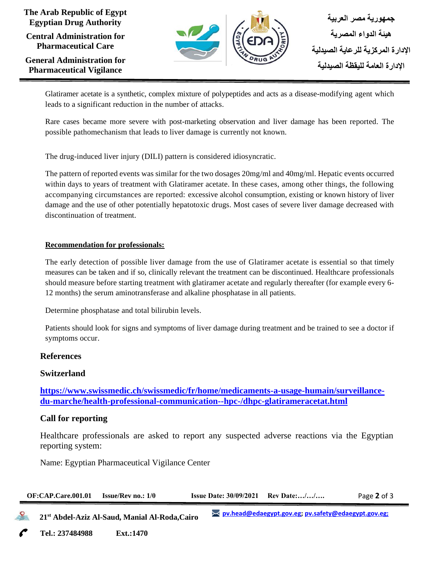#### **The Arab Republic of Egypt Egyptian Drug Authority**

**Central Administration for Pharmaceutical Care**

**General Administration for Pharmaceutical Vigilance**



Glatiramer acetate is a synthetic, complex mixture of polypeptides and acts as a disease-modifying agent which leads to a significant reduction in the number of attacks.

Rare cases became more severe with post-marketing observation and liver damage has been reported. The possible pathomechanism that leads to liver damage is currently not known.

The drug-induced liver injury (DILI) pattern is considered idiosyncratic.

The pattern of reported events was similar for the two dosages 20mg/ml and 40mg/ml. Hepatic events occurred within days to years of treatment with Glatiramer acetate. In these cases, among other things, the following accompanying circumstances are reported: excessive alcohol consumption, existing or known history of liver damage and the use of other potentially hepatotoxic drugs. Most cases of severe liver damage decreased with discontinuation of treatment.

#### **Recommendation for professionals:**

The early detection of possible liver damage from the use of Glatiramer acetate is essential so that timely measures can be taken and if so, clinically relevant the treatment can be discontinued. Healthcare professionals should measure before starting treatment with glatiramer acetate and regularly thereafter (for example every 6- 12 months) the serum aminotransferase and alkaline phosphatase in all patients.

Determine phosphatase and total bilirubin levels.

Patients should look for signs and symptoms of liver damage during treatment and be trained to see a doctor if symptoms occur.

#### **References**

#### **Switzerland**

**[https://www.swissmedic.ch/swissmedic/fr/home/medicaments-a-usage-humain/surveillance](https://www.swissmedic.ch/swissmedic/fr/home/medicaments-a-usage-humain/surveillance-du-marche/health-professional-communication--hpc-/dhpc-glatirameracetat.html)[du-marche/health-professional-communication--hpc-/dhpc-glatirameracetat.html](https://www.swissmedic.ch/swissmedic/fr/home/medicaments-a-usage-humain/surveillance-du-marche/health-professional-communication--hpc-/dhpc-glatirameracetat.html)**

#### **Call for reporting**

Healthcare professionals are asked to report any suspected adverse reactions via the Egyptian reporting system:

Name: Egyptian Pharmaceutical Vigilance Center

| $OF: CAP.Care.001.01$ Issue/Rev no.: $1/0$ | <b>Issue Date: <math>30/09/2021</math> Rev Date://</b> | Page 2 of 3 |
|--------------------------------------------|--------------------------------------------------------|-------------|
|                                            |                                                        |             |

 **21st Abdel-Aziz Al-Saud, Manial Al-Roda,Cairo**

**[pv.head@edaegypt.gov.eg;](mailto:pv.head@edaegypt.gov.eg) [pv.safety@edaegypt.gov.eg;](mailto:pv.safety@edaegypt.gov.eg;)**

**Tel.: 237484988 Ext.:1470 Cairo**